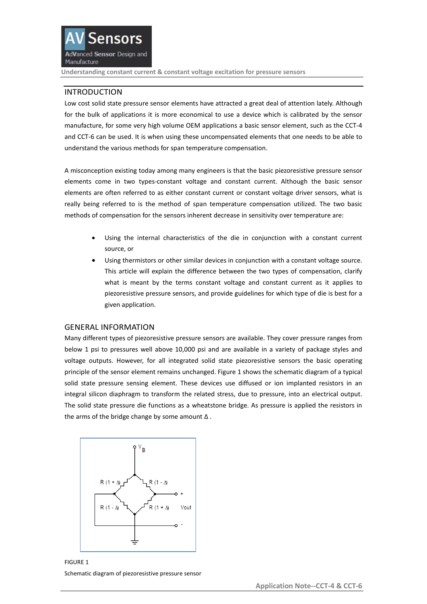# INTRODUCTION

Low cost solid state pressure sensor elements have attracted a great deal of attention lately. Although for the bulk of applications it is more economical to use a device which is calibrated by the sensor manufacture, for some very high volume OEM applications a basic sensor element, such as the CCT-4 and CCT-6 can be used. It is when using these uncompensated elements that one needs to be able to understand the various methods for span temperature compensation.

A misconception existing today among many engineers is that the basic piezoresistive pressure sensor elements come in two types-constant voltage and constant current. Although the basic sensor elements are often referred to as either constant current or constant voltage driver sensors, what is really being referred to is the method of span temperature compensation utilized. The two basic methods of compensation for the sensors inherent decrease in sensitivity over temperature are:

- Using the internal characteristics of the die in conjunction with a constant current source, or
- Using thermistors or other similar devices in conjunction with a constant voltage source. This article will explain the difference between the two types of compensation, clarify what is meant by the terms constant voltage and constant current as it applies to piezoresistive pressure sensors, and provide guidelines for which type of die is best for a given application.

## GENERAL INFORMATION

Many different types of piezoresistive pressure sensors are available. They cover pressure ranges from below 1 psi to pressures well above 10,000 psi and are available in a variety of package styles and voltage outputs. However, for all integrated solid state piezoresistive sensors the basic operating principle of the sensor element remains unchanged. Figure 1 shows the schematic diagram of a typical solid state pressure sensing element. These devices use diffused or ion implanted resistors in an integral silicon diaphragm to transform the related stress, due to pressure, into an electrical output. The solid state pressure die functions as a wheatstone bridge. As pressure is applied the resistors in the arms of the bridge change by some amount  $\Delta$ .



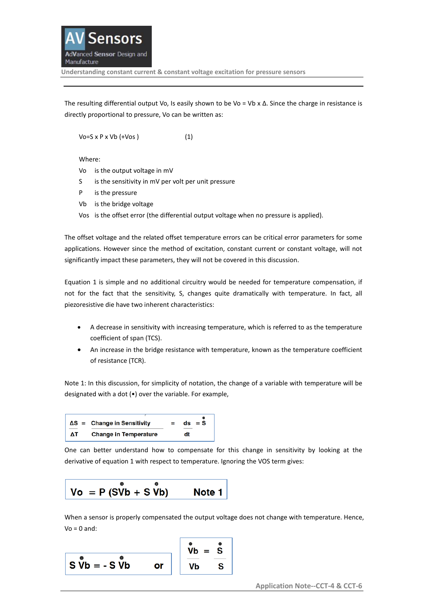The resulting differential output Vo, Is easily shown to be Vo = Vb x  $\Delta$ . Since the charge in resistance is directly proportional to pressure, Vo can be written as:

 $\sqrt{6}$ =S x P x  $\sqrt{6}$  (+ $\sqrt{6}$ s) (1)

Where:

- Vo is the output voltage in mV
- S is the sensitivity in mV per volt per unit pressure
- P is the pressure
- Vb is the bridge voltage
- Vos is the offset error (the differential output voltage when no pressure is applied).

The offset voltage and the related offset temperature errors can be critical error parameters for some applications. However since the method of excitation, constant current or constant voltage, will not significantly impact these parameters, they will not be covered in this discussion.

Equation 1 is simple and no additional circuitry would be needed for temperature compensation, if not for the fact that the sensitivity, S, changes quite dramatically with temperature. In fact, all piezoresistive die have two inherent characteristics:

- A decrease in sensitivity with increasing temperature, which is referred to as the temperature coefficient of span (TCS).
- An increase in the bridge resistance with temperature, known as the temperature coefficient of resistance (TCR).

Note 1: In this discussion, for simplicity of notation, the change of a variable with temperature will be designated with a dot (•) over the variable. For example,



One can better understand how to compensate for this change in sensitivity by looking at the derivative of equation 1 with respect to temperature. Ignoring the VOS term gives:

$$
Vo = P (S\overset{\bullet}{V}b + S\overset{\bullet}{V}b) \qquad Note 1
$$

When a sensor is properly compensated the output voltage does not change with temperature. Hence,  $Vo = 0$  and:

$$
\begin{array}{|c|c|c|c|}\n\hline\nS & \mathbf{v}_b & = -S & \mathbf{v}_b \\
\hline\nS & \mathbf{v}_b & = -S & \mathbf{v}_b \\
\hline\n\end{array}\n\quad \text{or} \quad\n\begin{array}{|c|c|c|}\n\hline\n\mathbf{v}_b & = & \mathbf{s} \\
\hline\n\mathbf{v}_b & = & \mathbf{s} \\
\hline\n\mathbf{v}_b & = & \mathbf{s} \\
\hline\n\end{array}
$$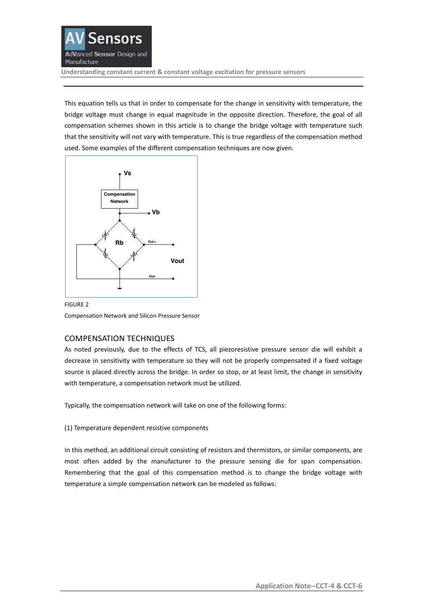

This equation tells us that in order to compensate for the change in sensitivity with temperature, the bridge voltage must change in equal magnitude in the opposite direction. Therefore, the goal of all compensation schemes shown in this article is to change the bridge voltage with temperature such that the sensitivity will not vary with temperature. This is true regardless of the compensation method used. Some examples of the different compensation techniques are now given.



FIGURE 2 Compensation Network and Silicon Pressure Sensor

# COMPENSATION TECHNIQUES

As noted previously, due to the effects of TCS, all piezoresistive pressure sensor die will exhibit a decrease in sensitivity with temperature so they will not be properly compensated if a fixed voltage source is placed directly across the bridge. In order so stop, or at least limit, the change in sensitivity with temperature, a compensation network must be utilized.

Typically, the compensation network will take on one of the following forms:

(1) Temperature dependent resistive components

In this method, an additional circuit consisting of resistors and thermistors, or similar components, are most often added by the manufacturer to the pressure sensing die for span compensation. Remembering that the goal of this compensation method is to change the bridge voltage with temperature a simple compensation network can be modeled as follows: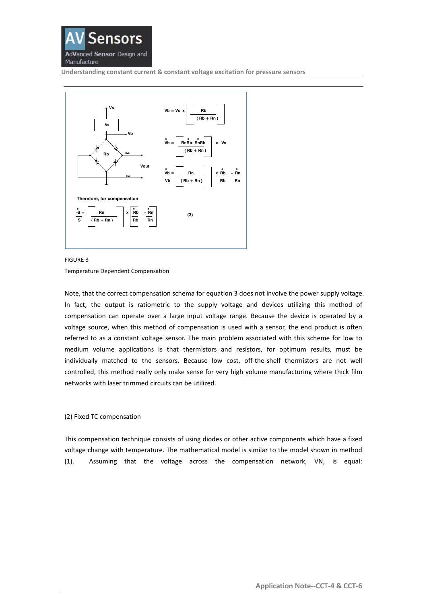



#### FIGURE 3

Temperature Dependent Compensation

Note, that the correct compensation schema for equation 3 does not involve the power supply voltage. In fact, the output is ratiometric to the supply voltage and devices utilizing this method of compensation can operate over a large input voltage range. Because the device is operated by a voltage source, when this method of compensation is used with a sensor, the end product is often referred to as a constant voltage sensor. The main problem associated with this scheme for low to medium volume applications is that thermistors and resistors, for optimum results, must be individually matched to the sensors. Because low cost, off-the-shelf thermistors are not well controlled, this method really only make sense for very high volume manufacturing where thick film networks with laser trimmed circuits can be utilized.

### (2) Fixed TC compensation

This compensation technique consists of using diodes or other active components which have a fixed voltage change with temperature. The mathematical model is similar to the model shown in method (1). Assuming that the voltage across the compensation network, VN, is equal: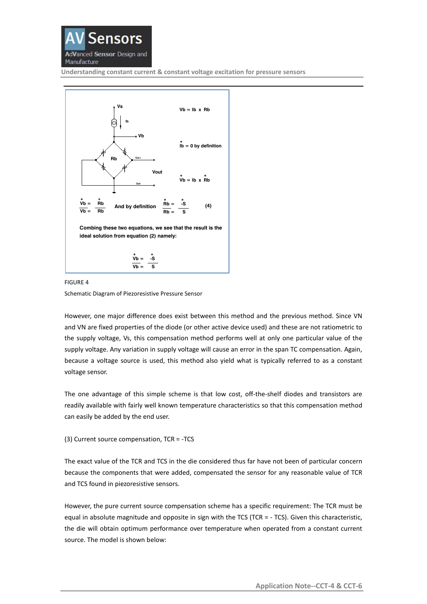



# FIGURE 4 Schematic Diagram of Piezoresistive Pressure Sensor

However, one major difference does exist between this method and the previous method. Since VN and VN are fixed properties of the diode (or other active device used) and these are not ratiometric to the supply voltage, Vs, this compensation method performs well at only one particular value of the supply voltage. Any variation in supply voltage will cause an error in the span TC compensation. Again, because a voltage source is used, this method also yield what is typically referred to as a constant voltage sensor.

The one advantage of this simple scheme is that low cost, off-the-shelf diodes and transistors are readily available with fairly well known temperature characteristics so that this compensation method can easily be added by the end user.

## (3) Current source compensation, TCR = -TCS

The exact value of the TCR and TCS in the die considered thus far have not been of particular concern because the components that were added, compensated the sensor for any reasonable value of TCR and TCS found in piezoresistive sensors.

However, the pure current source compensation scheme has a specific requirement: The TCR must be equal in absolute magnitude and opposite in sign with the TCS (TCR = - TCS). Given this characteristic, the die will obtain optimum performance over temperature when operated from a constant current source. The model is shown below: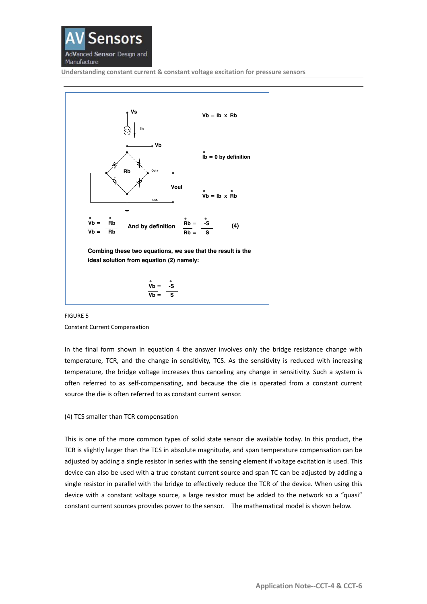



FIGURE 5 Constant Current Compensation

In the final form shown in equation 4 the answer involves only the bridge resistance change with temperature, TCR, and the change in sensitivity, TCS. As the sensitivity is reduced with increasing temperature, the bridge voltage increases thus canceling any change in sensitivity. Such a system is often referred to as self-compensating, and because the die is operated from a constant current source the die is often referred to as constant current sensor.

## (4) TCS smaller than TCR compensation

This is one of the more common types of solid state sensor die available today. In this product, the TCR is slightly larger than the TCS in absolute magnitude, and span temperature compensation can be adjusted by adding a single resistor in series with the sensing element if voltage excitation is used. This device can also be used with a true constant current source and span TC can be adjusted by adding a single resistor in parallel with the bridge to effectively reduce the TCR of the device. When using this device with a constant voltage source, a large resistor must be added to the network so a "quasi" constant current sources provides power to the sensor. The mathematical model is shown below.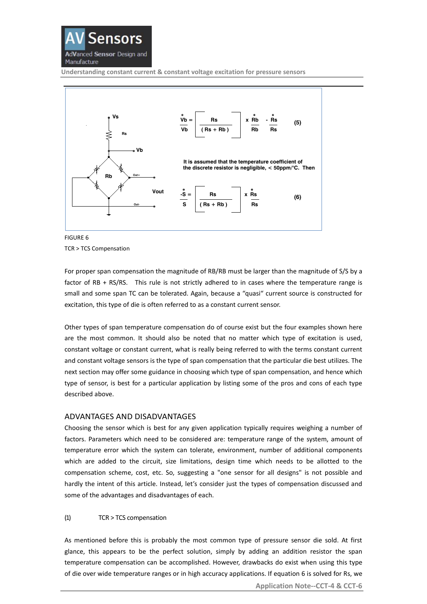



FIGURE 6 TCR > TCS Compensation

For proper span compensation the magnitude of RB/RB must be larger than the magnitude of S/S by a factor of RB + RS/RS. This rule is not strictly adhered to in cases where the temperature range is small and some span TC can be tolerated. Again, because a "quasi" current source is constructed for excitation, this type of die is often referred to as a constant current sensor.

Other types of span temperature compensation do of course exist but the four examples shown here are the most common. It should also be noted that no matter which type of excitation is used, constant voltage or constant current, what is really being referred to with the terms constant current and constant voltage sensors is the type of span compensation that the particular die best utilizes. The next section may offer some guidance in choosing which type of span compensation, and hence which type of sensor, is best for a particular application by listing some of the pros and cons of each type described above.

## ADVANTAGES AND DISADVANTAGES

Choosing the sensor which is best for any given application typically requires weighing a number of factors. Parameters which need to be considered are: temperature range of the system, amount of temperature error which the system can tolerate, environment, number of additional components which are added to the circuit, size limitations, design time which needs to be allotted to the compensation scheme, cost, etc. So, suggesting a "one sensor for all designs" is not possible and hardly the intent of this article. Instead, let's consider just the types of compensation discussed and some of the advantages and disadvantages of each.

## (1) TCR > TCS compensation

As mentioned before this is probably the most common type of pressure sensor die sold. At first glance, this appears to be the perfect solution, simply by adding an addition resistor the span temperature compensation can be accomplished. However, drawbacks do exist when using this type of die over wide temperature ranges or in high accuracy applications. If equation 6 is solved for Rs, we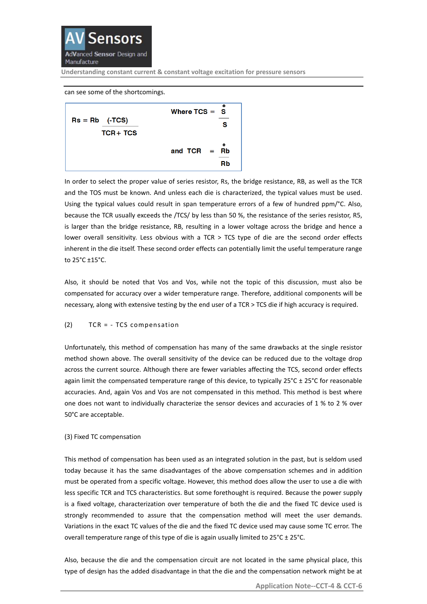

#### can see some of the shortcomings.



In order to select the proper value of series resistor, Rs, the bridge resistance, RB, as well as the TCR and the TOS must be known. And unless each die is characterized, the typical values must be used. Using the typical values could result in span temperature errors of a few of hundred ppm/°C. Also, because the TCR usually exceeds the /TCS/ by less than 50 %, the resistance of the series resistor, R5, is larger than the bridge resistance, RB, resulting in a lower voltage across the bridge and hence a lower overall sensitivity. Less obvious with a TCR > TCS type of die are the second order effects inherent in the die itself. These second order effects can potentially limit the useful temperature range to 25°C ±15°C.

Also, it should be noted that Vos and Vos, while not the topic of this discussion, must also be compensated for accuracy over a wider temperature range. Therefore, additional components will be necessary, along with extensive testing by the end user of a TCR > TCS die if high accuracy is required.

## (2) TCR = - TCS compensation

Unfortunately, this method of compensation has many of the same drawbacks at the single resistor method shown above. The overall sensitivity of the device can be reduced due to the voltage drop across the current source. Although there are fewer variables affecting the TCS, second order effects again limit the compensated temperature range of this device, to typically  $25^{\circ}C \pm 25^{\circ}C$  for reasonable accuracies. And, again Vos and Vos are not compensated in this method. This method is best where one does not want to individually characterize the sensor devices and accuracies of 1 % to 2 % over 50°C are acceptable.

#### (3) Fixed TC compensation

This method of compensation has been used as an integrated solution in the past, but is seldom used today because it has the same disadvantages of the above compensation schemes and in addition must be operated from a specific voltage. However, this method does allow the user to use a die with less specific TCR and TCS characteristics. But some forethought is required. Because the power supply is a fixed voltage, characterization over temperature of both the die and the fixed TC device used is strongly recommended to assure that the compensation method will meet the user demands. Variations in the exact TC values of the die and the fixed TC device used may cause some TC error. The overall temperature range of this type of die is again usually limited to  $25^{\circ}$ C  $\pm$  25 $^{\circ}$ C.

Also, because the die and the compensation circuit are not located in the same physical place, this type of design has the added disadvantage in that the die and the compensation network might be at